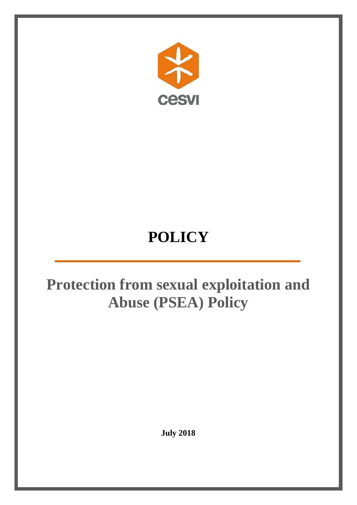

# **POLICY**

## **Protection from sexual exploitation and Abuse (PSEA) Policy**

**July 2018**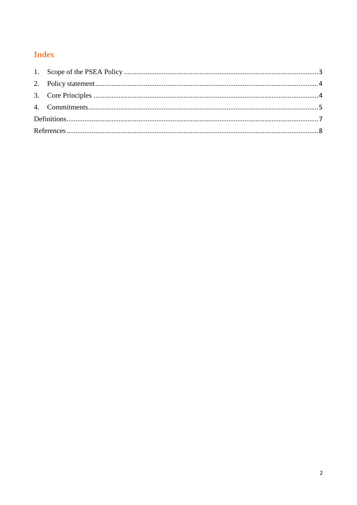### Index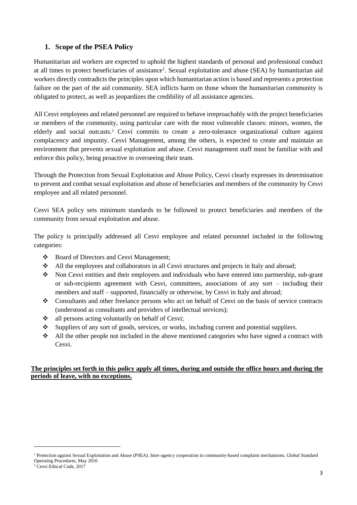#### <span id="page-2-0"></span>**1. Scope of the PSEA Policy**

Humanitarian aid workers are expected to uphold the highest standards of personal and professional conduct at all times to protect beneficiaries of assistance<sup>1</sup>. Sexual exploitation and abuse (SEA) by humanitarian aid workers directly contradicts the principles upon which humanitarian action is based and represents a protection failure on the part of the aid community. SEA inflicts harm on those whom the humanitarian community is obligated to protect, as well as jeopardizes the credibility of all assistance agencies.

All Cesvi employees and related personnel are required to behave irreproachably with the project beneficiaries or members of the community, using particular care with the most vulnerable classes: minors, women, the elderly and social outcasts. <sup>2</sup> Cesvi commits to create a zero-tolerance organizational culture against complacency and impunity. Cesvi Management, among the others, is expected to create and maintain an environment that prevents sexual exploitation and abuse. Cesvi management staff must be familiar with and enforce this policy, being proactive in overseeing their team.

Through the Protection from Sexual Exploitation and Abuse Policy, Cesvi clearly expresses its determination to prevent and combat sexual exploitation and abuse of beneficiaries and members of the community by Cesvi employee and all related personnel.

Cesvi SEA policy sets minimum standards to be followed to protect beneficiaries and members of the community from sexual exploitation and abuse.

The policy is principally addressed all Cesvi employee and related personnel included in the following categories:

- Board of Directors and Cesvi Management;
- All the employees and collaborators in all Cesvi structures and projects in Italy and abroad;
- Non Cesvi entities and their employees and individuals who have entered into partnership, sub-grant or sub-recipients agreement with Cesvi, committees, associations of any sort – including their members and staff – supported, financially or otherwise, by Cesvi in Italy and abroad;
- Consultants and other freelance persons who act on behalf of Cesvi on the basis of service contracts (understood as consultants and providers of intellectual services);
- $\triangleleft$  all persons acting voluntarily on behalf of Cesvi;
- Suppliers of any sort of goods, services, or works, including current and potential suppliers.
- All the other people not included in the above mentioned categories who have signed a contract with Cesvi.

#### **The principles set forth in this policy apply all times, during and outside the office hours and during the periods of leave, with no exceptions.**

**-**

<sup>&</sup>lt;sup>1</sup> Protection against Sexual Exploitation and Abuse (PSEA). Inter-agency cooperation in community-based complaint mechanisms. Global Standard Operating Procedures, May 2016

<sup>2</sup> Cesvi Ethical Code, 2017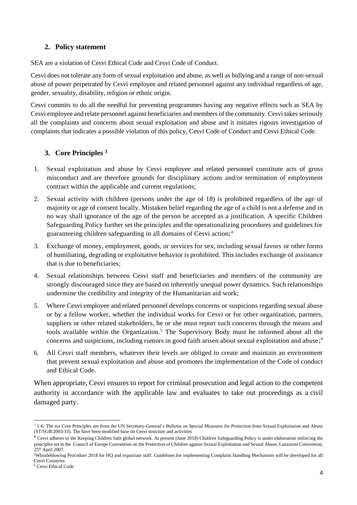#### <span id="page-3-0"></span>**2. Policy statement**

SEA are a violation of Cesvi Ethical Code and Cesvi Code of Conduct.

Cesvi does not tolerate any form of sexual exploitation and abuse, as well as bullying and a range of non-sexual abuse of power perpetrated by Cesvi employee and related personnel against any individual regardless of age, gender, sexuality, disability, religion or ethnic origin.

Cesvi commits to do all the needful for preventing programmes having any negative effects such as SEA by Cesvi employee and relate personnel against beneficiaries and members of the community. Cesvi takes seriously all the complaints and concerns about sexual exploitation and abuse and it initiates rigours investigation of complaints that indicates a possible violation of this policy, Cesvi Code of Conduct and Cesvi Ethical Code.

#### <span id="page-3-1"></span>**3. Core Principles <sup>3</sup>**

- 1. Sexual exploitation and abuse by Cesvi employee and related personnel constitute acts of gross misconduct and are therefore grounds for disciplinary actions and/or termination of employment contract within the applicable and current regulations;
- 2. Sexual activity with children (persons under the age of 18) is prohibited regardless of the age of majority or age of consent locally. Mistaken belief regarding the age of a child is not a defense and in no way shall ignorance of the age of the person be accepted as a justification. A specific Children Safeguarding Policy further set the principles and the operationalizing procedures and guidelines for guaranteeing children safeguarding in all domains of Cesvi action;<sup>4</sup>
- 3. Exchange of money, employment, goods, or services for sex, including sexual favors or other forms of humiliating, degrading or exploitative behavior is prohibited. This includes exchange of assistance that is due to beneficiaries;
- 4. Sexual relationships between Cesvi staff and beneficiaries and members of the community are strongly discouraged since they are based on inherently unequal power dynamics. Such relationships undermine the credibility and integrity of the Humanitarian aid work;
- 5. Where Cesvi employee and related personnel develops concerns or suspicions regarding sexual abuse or by a fellow worker, whether the individual works for Cesvi or for other organization, partners, suppliers or other related stakeholders, he or she must report such concerns through the means and tools available within the Organization.<sup>5</sup> The Supervisory Body must be informed about all the concerns and suspicions, including rumors in good faith arisen about sexual exploitation and abuse; 6
- 6. All Cesvi staff members, whatever their levels are obliged to create and maintain an environment that prevent sexual exploitation and abuse and promotes the implementation of the Code of conduct and Ethical Code.

When appropriate, Cesvi ensures to report for criminal prosecution and legal action to the competent authority in accordance with the applicable law and evaluates to take out proceedings as a [civil](http://context.reverso.net/traduzione/inglese-italiano/civil+party)  [damaged party.](http://context.reverso.net/traduzione/inglese-italiano/civil+party)

<sup>1</sup> <sup>3</sup> 1-6: The six Core Principles are from the UN Secretary-General's Bulletin on Special Measures for Protection from Sexual Exploitation and Abuse (ST/SGB/2003/13). The have been modified base on Cesvi structure and activities

<sup>4</sup> Cesvi adheres to the Keeping Children Safe global network. At present (June 2018) Children Safeguarding Policy is under elaboration enforcing the principles set in the Council of Europe Convention on the Protection of Children against Sexual Exploitation and Sexual Abuse, Lanzarote Convention,  $25<sup>th</sup>$  April 2007.

<sup>5</sup>Whistleblowing Procedure 2018 for HQ and expatriate staff. Guidelines for implementing Complaint Handling Mechanism will be developed for all Cesvi Countries

<sup>6</sup> Cesvi Ethical Code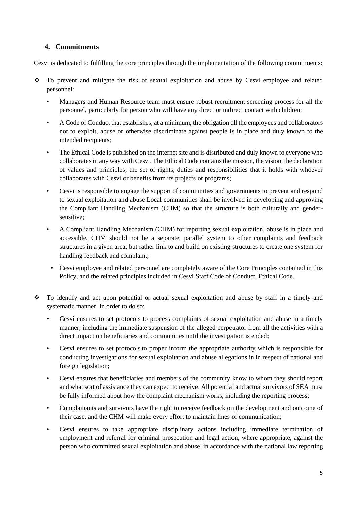#### <span id="page-4-0"></span>**4. Commitments**

Cesvi is dedicated to fulfilling the core principles through the implementation of the following commitments:

- To prevent and mitigate the risk of sexual exploitation and abuse by Cesvi employee and related personnel:
	- Managers and Human Resource team must ensure robust recruitment screening process for all the personnel, particularly for person who will have any direct or indirect contact with children;
	- A Code of Conduct that establishes, at a minimum, the obligation all the employees and collaborators not to exploit, abuse or otherwise discriminate against people is in place and duly known to the intended recipients;
	- The Ethical Code is published on the internet site and is distributed and duly known to everyone who collaborates in any way with Cesvi. The Ethical Code contains the mission, the vision, the declaration of values and principles, the set of rights, duties and responsibilities that it holds with whoever collaborates with Cesvi or benefits from its projects or programs;
	- Cesvi is responsible to engage the support of communities and governments to prevent and respond to sexual exploitation and abuse Local communities shall be involved in developing and approving the Compliant Handling Mechanism (CHM) so that the structure is both culturally and gendersensitive;
	- A Compliant Handling Mechanism (CHM) for reporting sexual exploitation, abuse is in place and accessible. CHM should not be a separate, parallel system to other complaints and feedback structures in a given area, but rather link to and build on existing structures to create one system for handling feedback and complaint;
	- Cesvi employee and related personnel are completely aware of the Core Principles contained in this Policy, and the related principles included in Cesvi Staff Code of Conduct, Ethical Code.
- To identify and act upon potential or actual sexual exploitation and abuse by staff in a timely and systematic manner. In order to do so:
	- Cesvi ensures to set protocols to process complaints of sexual exploitation and abuse in a timely manner, including the immediate suspension of the alleged perpetrator from all the activities with a direct impact on beneficiaries and communities until the investigation is ended;
	- Cesvi ensures to set protocols to proper inform the appropriate authority which is responsible for conducting investigations for sexual exploitation and abuse allegations in in respect of national and foreign legislation;
	- Cesvi ensures that beneficiaries and members of the community know to whom they should report and what sort of assistance they can expect to receive. All potential and actual survivors of SEA must be fully informed about how the complaint mechanism works, including the reporting process;
	- Complainants and survivors have the right to receive feedback on the development and outcome of their case, and the CHM will make every effort to maintain lines of communication;
	- Cesvi ensures to take appropriate disciplinary actions including immediate termination of employment and referral for criminal prosecution and legal action, where appropriate, against the person who committed sexual exploitation and abuse, in accordance with the national law reporting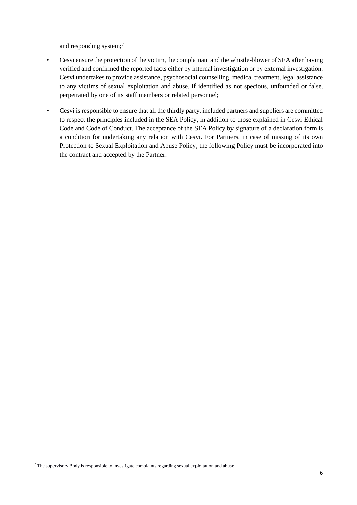and responding system; 7

- Cesvi ensure the protection of the victim, the complainant and the whistle-blower of SEA after having verified and confirmed the reported facts either by internal investigation or by external investigation. Cesvi undertakes to provide assistance, psychosocial counselling, medical treatment, legal assistance to any victims of sexual exploitation and abuse, if identified as not specious, unfounded or false, perpetrated by one of its staff members or related personnel;
- Cesvi is responsible to ensure that all the thirdly party, included partners and suppliers are committed to respect the principles included in the SEA Policy, in addition to those explained in Cesvi Ethical Code and Code of Conduct. The acceptance of the SEA Policy by signature of a declaration form is a condition for undertaking any relation with Cesvi. For Partners, in case of missing of its own Protection to Sexual Exploitation and Abuse Policy, the following Policy must be incorporated into the contract and accepted by the Partner.

1

<sup>7</sup> The supervisory Body is responsible to investigate complaints regarding sexual exploitation and abuse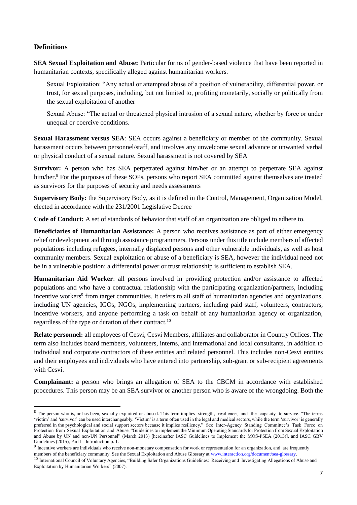#### <span id="page-6-0"></span>**Definitions**

**.** 

**SEA Sexual Exploitation and Abuse:** Particular forms of gender-based violence that have been reported in humanitarian contexts, specifically alleged against humanitarian workers.

Sexual Exploitation: "Any actual or attempted abuse of a position of vulnerability, differential power, or trust, for sexual purposes, including, but not limited to, profiting monetarily, socially or politically from the sexual exploitation of another

Sexual Abuse: "The actual or threatened physical intrusion of a sexual nature, whether by force or under unequal or coercive conditions.

**Sexual Harassment versus SEA**: SEA occurs against a beneficiary or member of the community. Sexual harassment occurs between personnel/staff, and involves any unwelcome sexual advance or unwanted verbal or physical conduct of a sexual nature. Sexual harassment is not covered by SEA

**Survivor:** A person who has SEA perpetrated against him/her or an attempt to perpetrate SEA against him/her.<sup>8</sup> For the purposes of these SOPs, persons who report SEA committed against themselves are treated as survivors for the purposes of security and needs assessments

**Supervisory Body:** the Supervisory Body, as it is defined in the Control, Management, Organization Model, elected in accordance with the 231/2001 Legislative Decree

**Code of Conduct:** A set of standards of behavior that staff of an organization are obliged to adhere to.

**Beneficiaries of Humanitarian Assistance:** A person who receives assistance as part of either emergency relief or development aid through assistance programmers. Persons under this title include members of affected populations including refugees, internally displaced persons and other vulnerable individuals, as well as host community members. Sexual exploitation or abuse of a beneficiary is SEA, however the individual need not be in a vulnerable position; a differential power or trust relationship is sufficient to establish SEA.

**Humanitarian Aid Worker**: all persons involved in providing protection and/or assistance to affected populations and who have a contractual relationship with the participating organization/partners, including incentive workers<sup>9</sup> from target communities. It refers to all staff of humanitarian agencies and organizations, including UN agencies, IGOs, NGOs, implementing partners, including paid staff, volunteers, contractors, incentive workers, and anyone performing a task on behalf of any humanitarian agency or organization, regardless of the type or duration of their contract.<sup>10</sup>

**Relate personnel:** all employees of Cesvi, Cesvi Members, affiliates and collaborator in Country Offices. The term also includes board members, volunteers, interns, and international and local consultants, in addition to individual and corporate contractors of these entities and related personnel. This includes non-Cesvi entities and their employees and individuals who have entered into partnership, sub-grant or sub-recipient agreements with Cesvi.

**Complainant:** a person who brings an allegation of SEA to the CBCM in accordance with established procedures. This person may be an SEA survivor or another person who is aware of the wrongdoing. Both the

<sup>&</sup>lt;sup>8</sup> The person who is, or has been, sexually exploited or abused. This term implies strength, resilience, and the capacity to survive. "The terms 'victim' and 'survivor' can be used interchangeably. 'Victim' is a term often used in the legal and medical sectors, while the term 'survivor' is generally preferred in the psychological and social support sectors because it implies resiliency." See Inter-Agency Standing Committee's Task Force on Protection from Sexual Exploitation and Abuse, "Guidelines to implement the Minimum Operating Standards for Protection from Sexual Exploitation and Abuse by UN and non-UN Personnel" (March 2013) [hereinafter IASC Guidelines to Implement the MOS-PSEA (2013)], and IASC GBV Guidelines (2015), Part I - Introduction p. 1.

<sup>&</sup>lt;sup>9</sup> Incentive workers are individuals who receive non-monetary compensation for work or representation for an organization, and are frequently members of the beneficiary community. See the Sexual Exploitation and Abuse Glossary a[t www.interaction.org/document/sea-glossary.](http://www.interaction.org/document/sea-glossary)

<sup>&</sup>lt;sup>10</sup> International Council of Voluntary Agencies, "Building Safer Organizations Guidelines: Receiving and Investigating Allegations of Abuse and Exploitation by Humanitarian Workers" (2007).